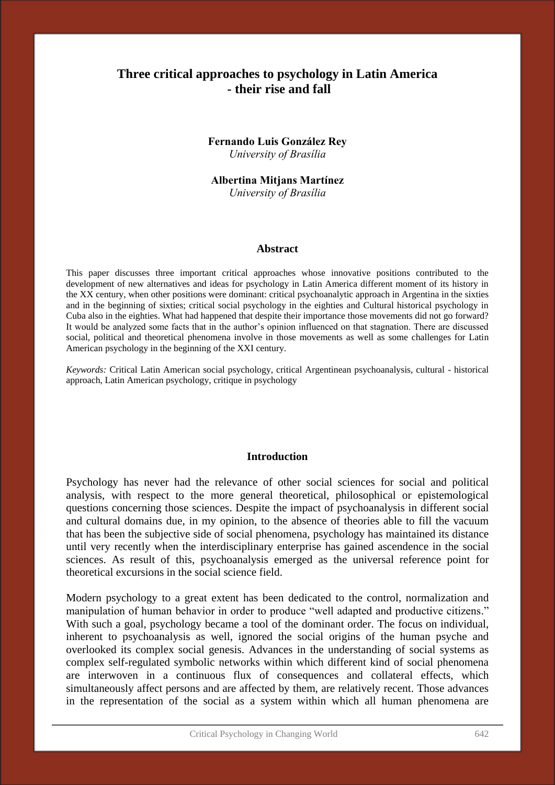## **Three critical approaches to psychology in Latin America - their rise and fall**

**Fernando Luis González Rey** *University of Brasília*

**Albertina Mitjans Martínez** *University of Brasília*

#### **Abstract**

This paper discusses three important critical approaches whose innovative positions contributed to the development of new alternatives and ideas for psychology in Latin America different moment of its history in the XX century, when other positions were dominant: critical psychoanalytic approach in Argentina in the sixties and in the beginning of sixties; critical social psychology in the eighties and Cultural historical psychology in Cuba also in the eighties. What had happened that despite their importance those movements did not go forward? It would be analyzed some facts that in the author's opinion influenced on that stagnation. There are discussed social, political and theoretical phenomena involve in those movements as well as some challenges for Latin American psychology in the beginning of the XXI century.

*Keywords:* Critical Latin American social psychology, critical Argentinean psychoanalysis, cultural - historical approach, Latin American psychology, critique in psychology

#### **Introduction**

Psychology has never had the relevance of other social sciences for social and political analysis, with respect to the more general theoretical, philosophical or epistemological questions concerning those sciences. Despite the impact of psychoanalysis in different social and cultural domains due, in my opinion, to the absence of theories able to fill the vacuum that has been the subjective side of social phenomena, psychology has maintained its distance until very recently when the interdisciplinary enterprise has gained ascendence in the social sciences. As result of this, psychoanalysis emerged as the universal reference point for theoretical excursions in the social science field.

Modern psychology to a great extent has been dedicated to the control, normalization and manipulation of human behavior in order to produce "well adapted and productive citizens." With such a goal, psychology became a tool of the dominant order. The focus on individual, inherent to psychoanalysis as well, ignored the social origins of the human psyche and overlooked its complex social genesis. Advances in the understanding of social systems as complex self-regulated symbolic networks within which different kind of social phenomena are interwoven in a continuous flux of consequences and collateral effects, which simultaneously affect persons and are affected by them, are relatively recent. Those advances in the representation of the social as a system within which all human phenomena are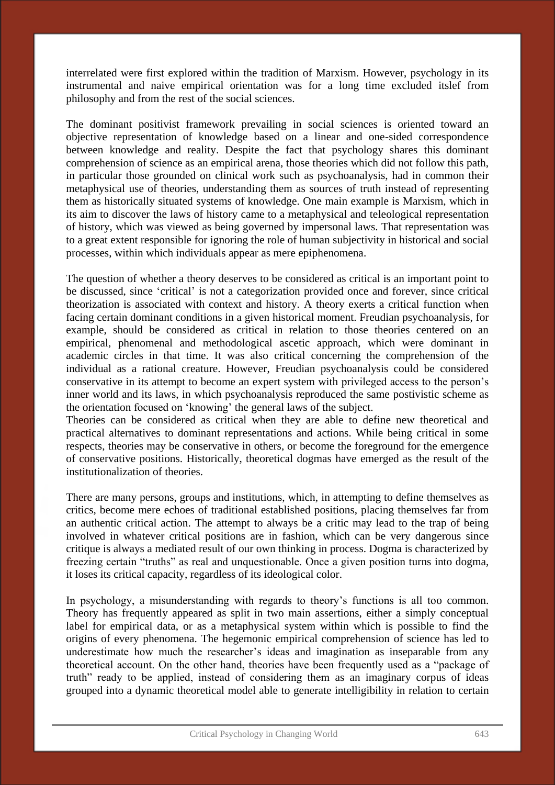interrelated were first explored within the tradition of Marxism. However, psychology in its instrumental and naive empirical orientation was for a long time excluded itslef from philosophy and from the rest of the social sciences.

The dominant positivist framework prevailing in social sciences is oriented toward an objective representation of knowledge based on a linear and one-sided correspondence between knowledge and reality. Despite the fact that psychology shares this dominant comprehension of science as an empirical arena, those theories which did not follow this path, in particular those grounded on clinical work such as psychoanalysis, had in common their metaphysical use of theories, understanding them as sources of truth instead of representing them as historically situated systems of knowledge. One main example is Marxism, which in its aim to discover the laws of history came to a metaphysical and teleological representation of history, which was viewed as being governed by impersonal laws. That representation was to a great extent responsible for ignoring the role of human subjectivity in historical and social processes, within which individuals appear as mere epiphenomena.

The question of whether a theory deserves to be considered as critical is an important point to be discussed, since 'critical' is not a categorization provided once and forever, since critical theorization is associated with context and history. A theory exerts a critical function when facing certain dominant conditions in a given historical moment. Freudian psychoanalysis, for example, should be considered as critical in relation to those theories centered on an empirical, phenomenal and methodological ascetic approach, which were dominant in academic circles in that time. It was also critical concerning the comprehension of the individual as a rational creature. However, Freudian psychoanalysis could be considered conservative in its attempt to become an expert system with privileged access to the person's inner world and its laws, in which psychoanalysis reproduced the same postivistic scheme as the orientation focused on 'knowing' the general laws of the subject.

Theories can be considered as critical when they are able to define new theoretical and practical alternatives to dominant representations and actions. While being critical in some respects, theories may be conservative in others, or become the foreground for the emergence of conservative positions. Historically, theoretical dogmas have emerged as the result of the institutionalization of theories.

There are many persons, groups and institutions, which, in attempting to define themselves as critics, become mere echoes of traditional established positions, placing themselves far from an authentic critical action. The attempt to always be a critic may lead to the trap of being involved in whatever critical positions are in fashion, which can be very dangerous since critique is always a mediated result of our own thinking in process. Dogma is characterized by freezing certain "truths" as real and unquestionable. Once a given position turns into dogma, it loses its critical capacity, regardless of its ideological color.

In psychology, a misunderstanding with regards to theory's functions is all too common. Theory has frequently appeared as split in two main assertions, either a simply conceptual label for empirical data, or as a metaphysical system within which is possible to find the origins of every phenomena. The hegemonic empirical comprehension of science has led to underestimate how much the researcher's ideas and imagination as inseparable from any theoretical account. On the other hand, theories have been frequently used as a "package of truth" ready to be applied, instead of considering them as an imaginary corpus of ideas grouped into a dynamic theoretical model able to generate intelligibility in relation to certain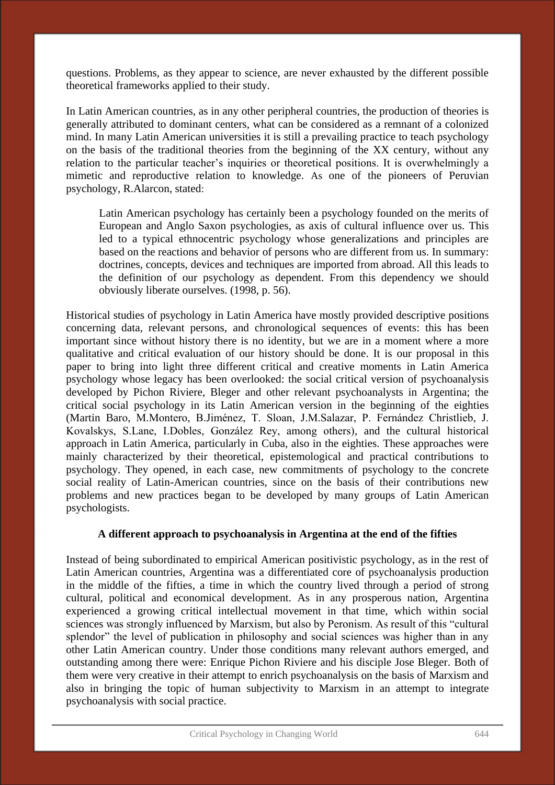questions. Problems, as they appear to science, are never exhausted by the different possible theoretical frameworks applied to their study.

In Latin American countries, as in any other peripheral countries, the production of theories is generally attributed to dominant centers, what can be considered as a remnant of a colonized mind. In many Latin American universities it is still a prevailing practice to teach psychology on the basis of the traditional theories from the beginning of the XX century, without any relation to the particular teacher's inquiries or theoretical positions. It is overwhelmingly a mimetic and reproductive relation to knowledge. As one of the pioneers of Peruvian psychology, R.Alarcon, stated:

Latin American psychology has certainly been a psychology founded on the merits of European and Anglo Saxon psychologies, as axis of cultural influence over us. This led to a typical ethnocentric psychology whose generalizations and principles are based on the reactions and behavior of persons who are different from us. In summary: doctrines, concepts, devices and techniques are imported from abroad. All this leads to the definition of our psychology as dependent. From this dependency we should obviously liberate ourselves. (1998, p. 56).

Historical studies of psychology in Latin America have mostly provided descriptive positions concerning data, relevant persons, and chronological sequences of events: this has been important since without history there is no identity, but we are in a moment where a more qualitative and critical evaluation of our history should be done. It is our proposal in this paper to bring into light three different critical and creative moments in Latin America psychology whose legacy has been overlooked: the social critical version of psychoanalysis developed by Pichon Riviere, Bleger and other relevant psychoanalysts in Argentina; the critical social psychology in its Latin American version in the beginning of the eighties (Martin Baro, M.Montero, B.Jiménez, T. Sloan, J.M.Salazar, P. Fernández Christlieb, J. Kovalskys, S.Lane, I.Dobles, González Rey, among others), and the cultural historical approach in Latin America, particularly in Cuba, also in the eighties. These approaches were mainly characterized by their theoretical, epistemological and practical contributions to psychology. They opened, in each case, new commitments of psychology to the concrete social reality of Latin-American countries, since on the basis of their contributions new problems and new practices began to be developed by many groups of Latin American psychologists.

### **A different approach to psychoanalysis in Argentina at the end of the fifties**

Instead of being subordinated to empirical American positivistic psychology, as in the rest of Latin American countries, Argentina was a differentiated core of psychoanalysis production in the middle of the fifties, a time in which the country lived through a period of strong cultural, political and economical development. As in any prosperous nation, Argentina experienced a growing critical intellectual movement in that time, which within social sciences was strongly influenced by Marxism, but also by Peronism. As result of this "cultural splendor" the level of publication in philosophy and social sciences was higher than in any other Latin American country. Under those conditions many relevant authors emerged, and outstanding among there were: Enrique Pichon Riviere and his disciple Jose Bleger. Both of them were very creative in their attempt to enrich psychoanalysis on the basis of Marxism and also in bringing the topic of human subjectivity to Marxism in an attempt to integrate psychoanalysis with social practice.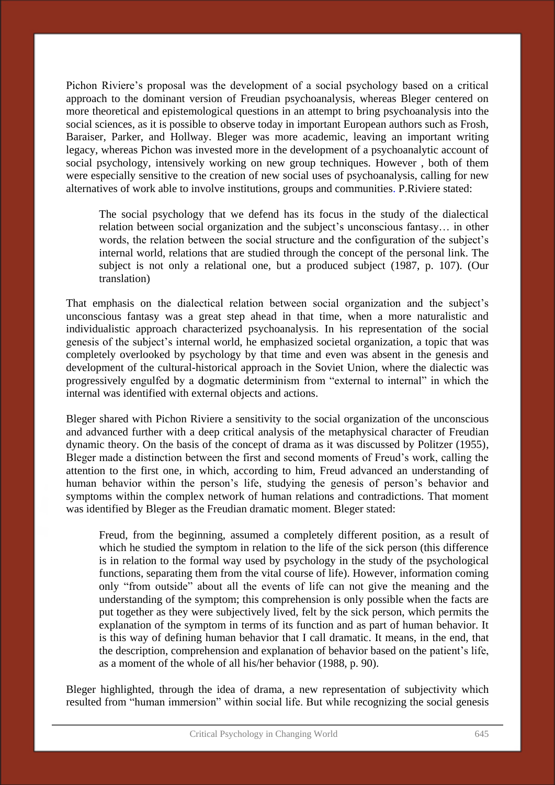Pichon Riviere's proposal was the development of a social psychology based on a critical approach to the dominant version of Freudian psychoanalysis, whereas Bleger centered on more theoretical and epistemological questions in an attempt to bring psychoanalysis into the social sciences, as it is possible to observe today in important European authors such as Frosh, Baraiser, Parker, and Hollway. Bleger was more academic, leaving an important writing legacy, whereas Pichon was invested more in the development of a psychoanalytic account of social psychology, intensively working on new group techniques. However , both of them were especially sensitive to the creation of new social uses of psychoanalysis, calling for new alternatives of work able to involve institutions, groups and communities. P.Riviere stated:

The social psychology that we defend has its focus in the study of the dialectical relation between social organization and the subject's unconscious fantasy… in other words, the relation between the social structure and the configuration of the subject's internal world, relations that are studied through the concept of the personal link. The subject is not only a relational one, but a produced subject (1987, p. 107). (Our translation)

That emphasis on the dialectical relation between social organization and the subject's unconscious fantasy was a great step ahead in that time, when a more naturalistic and individualistic approach characterized psychoanalysis. In his representation of the social genesis of the subject's internal world, he emphasized societal organization, a topic that was completely overlooked by psychology by that time and even was absent in the genesis and development of the cultural-historical approach in the Soviet Union, where the dialectic was progressively engulfed by a dogmatic determinism from "external to internal" in which the internal was identified with external objects and actions.

Bleger shared with Pichon Riviere a sensitivity to the social organization of the unconscious and advanced further with a deep critical analysis of the metaphysical character of Freudian dynamic theory. On the basis of the concept of drama as it was discussed by Politzer (1955), Bleger made a distinction between the first and second moments of Freud's work, calling the attention to the first one, in which, according to him, Freud advanced an understanding of human behavior within the person's life, studying the genesis of person's behavior and symptoms within the complex network of human relations and contradictions. That moment was identified by Bleger as the Freudian dramatic moment. Bleger stated:

Freud, from the beginning, assumed a completely different position, as a result of which he studied the symptom in relation to the life of the sick person (this difference is in relation to the formal way used by psychology in the study of the psychological functions, separating them from the vital course of life). However, information coming only "from outside" about all the events of life can not give the meaning and the understanding of the symptom; this comprehension is only possible when the facts are put together as they were subjectively lived, felt by the sick person, which permits the explanation of the symptom in terms of its function and as part of human behavior. It is this way of defining human behavior that I call dramatic. It means, in the end, that the description, comprehension and explanation of behavior based on the patient's life, as a moment of the whole of all his/her behavior (1988, p. 90).

Bleger highlighted, through the idea of drama, a new representation of subjectivity which resulted from "human immersion" within social life. But while recognizing the social genesis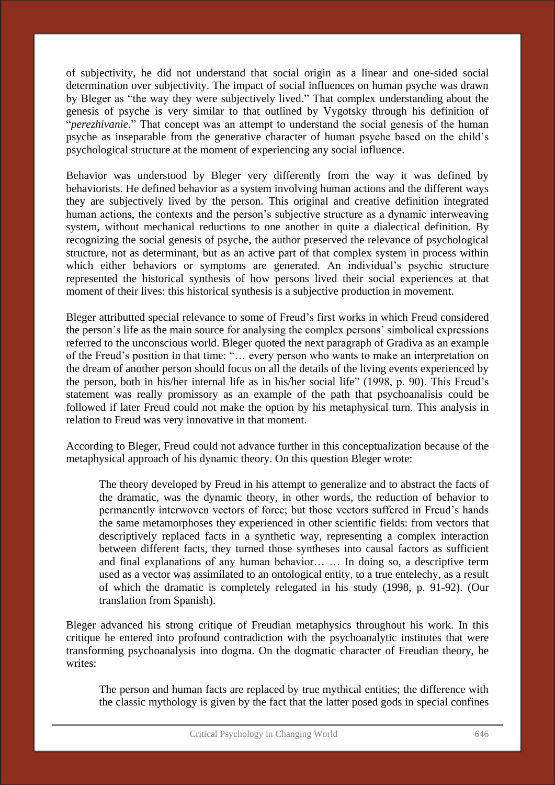of subjectivity, he did not understand that social origin as a linear and one-sided social determination over subjectivity. The impact of social influences on human psyche was drawn by Bleger as "the way they were subjectively lived." That complex understanding about the genesis of psyche is very similar to that outlined by Vygotsky through his definition of "*perezhivanie.*" That concept was an attempt to understand the social genesis of the human psyche as inseparable from the generative character of human psyche based on the child's psychological structure at the moment of experiencing any social influence.

Behavior was understood by Bleger very differently from the way it was defined by behaviorists. He defined behavior as a system involving human actions and the different ways they are subjectively lived by the person. This original and creative definition integrated human actions, the contexts and the person's subjective structure as a dynamic interweaving system, without mechanical reductions to one another in quite a dialectical definition. By recognizing the social genesis of psyche, the author preserved the relevance of psychological structure, not as determinant, but as an active part of that complex system in process within which either behaviors or symptoms are generated. An individual's psychic structure represented the historical synthesis of how persons lived their social experiences at that moment of their lives: this historical synthesis is a subjective production in movement.

Bleger attributted special relevance to some of Freud's first works in which Freud considered the person's life as the main source for analysing the complex persons' simbolical expressions referred to the unconscious world. Bleger quoted the next paragraph of Gradiva as an example of the Freud's position in that time: "… every person who wants to make an interpretation on the dream of another person should focus on all the details of the living events experienced by the person, both in his/her internal life as in his/her social life" (1998, p. 90). This Freud's statement was really promissory as an example of the path that psychoanalisis could be followed if later Freud could not make the option by his metaphysical turn. This analysis in relation to Freud was very innovative in that moment.

According to Bleger, Freud could not advance further in this conceptualization because of the metaphysical approach of his dynamic theory. On this question Bleger wrote:

The theory developed by Freud in his attempt to generalize and to abstract the facts of the dramatic, was the dynamic theory, in other words, the reduction of behavior to permanently interwoven vectors of force; but those vectors suffered in Freud's hands the same metamorphoses they experienced in other scientific fields: from vectors that descriptively replaced facts in a synthetic way, representing a complex interaction between different facts, they turned those syntheses into causal factors as sufficient and final explanations of any human behavior… … In doing so, a descriptive term used as a vector was assimilated to an ontological entity, to a true entelechy, as a result of which the dramatic is completely relegated in his study (1998, p. 91-92). (Our translation from Spanish).

Bleger advanced his strong critique of Freudian metaphysics throughout his work. In this critique he entered into profound contradiction with the psychoanalytic institutes that were transforming psychoanalysis into dogma. On the dogmatic character of Freudian theory, he writes:

The person and human facts are replaced by true mythical entities; the difference with the classic mythology is given by the fact that the latter posed gods in special confines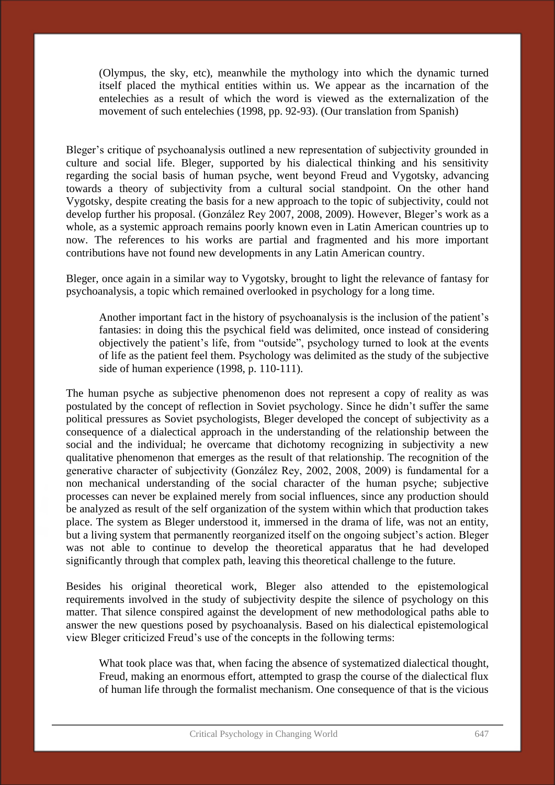(Olympus, the sky, etc), meanwhile the mythology into which the dynamic turned itself placed the mythical entities within us. We appear as the incarnation of the entelechies as a result of which the word is viewed as the externalization of the movement of such entelechies (1998, pp. 92-93). (Our translation from Spanish)

Bleger's critique of psychoanalysis outlined a new representation of subjectivity grounded in culture and social life. Bleger, supported by his dialectical thinking and his sensitivity regarding the social basis of human psyche, went beyond Freud and Vygotsky, advancing towards a theory of subjectivity from a cultural social standpoint. On the other hand Vygotsky, despite creating the basis for a new approach to the topic of subjectivity, could not develop further his proposal. (González Rey 2007, 2008, 2009). However, Bleger's work as a whole, as a systemic approach remains poorly known even in Latin American countries up to now. The references to his works are partial and fragmented and his more important contributions have not found new developments in any Latin American country.

Bleger, once again in a similar way to Vygotsky, brought to light the relevance of fantasy for psychoanalysis, a topic which remained overlooked in psychology for a long time.

Another important fact in the history of psychoanalysis is the inclusion of the patient's fantasies: in doing this the psychical field was delimited, once instead of considering objectively the patient's life, from "outside", psychology turned to look at the events of life as the patient feel them. Psychology was delimited as the study of the subjective side of human experience (1998, p. 110-111).

The human psyche as subjective phenomenon does not represent a copy of reality as was postulated by the concept of reflection in Soviet psychology. Since he didn't suffer the same political pressures as Soviet psychologists, Bleger developed the concept of subjectivity as a consequence of a dialectical approach in the understanding of the relationship between the social and the individual; he overcame that dichotomy recognizing in subjectivity a new qualitative phenomenon that emerges as the result of that relationship. The recognition of the generative character of subjectivity (González Rey, 2002, 2008, 2009) is fundamental for a non mechanical understanding of the social character of the human psyche; subjective processes can never be explained merely from social influences, since any production should be analyzed as result of the self organization of the system within which that production takes place. The system as Bleger understood it, immersed in the drama of life, was not an entity, but a living system that permanently reorganized itself on the ongoing subject's action. Bleger was not able to continue to develop the theoretical apparatus that he had developed significantly through that complex path, leaving this theoretical challenge to the future.

Besides his original theoretical work, Bleger also attended to the epistemological requirements involved in the study of subjectivity despite the silence of psychology on this matter. That silence conspired against the development of new methodological paths able to answer the new questions posed by psychoanalysis. Based on his dialectical epistemological view Bleger criticized Freud's use of the concepts in the following terms:

What took place was that, when facing the absence of systematized dialectical thought, Freud, making an enormous effort, attempted to grasp the course of the dialectical flux of human life through the formalist mechanism. One consequence of that is the vicious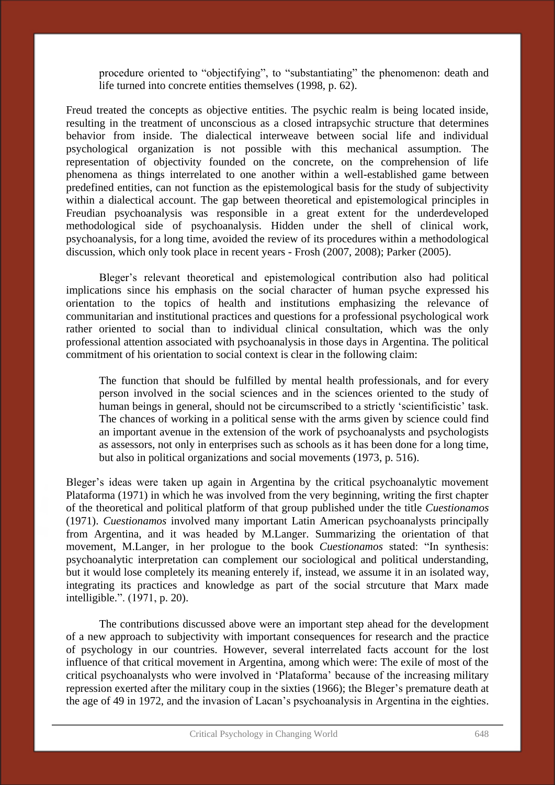procedure oriented to "objectifying", to "substantiating" the phenomenon: death and life turned into concrete entities themselves (1998, p. 62).

Freud treated the concepts as objective entities. The psychic realm is being located inside, resulting in the treatment of unconscious as a closed intrapsychic structure that determines behavior from inside. The dialectical interweave between social life and individual psychological organization is not possible with this mechanical assumption. The representation of objectivity founded on the concrete, on the comprehension of life phenomena as things interrelated to one another within a well-established game between predefined entities, can not function as the epistemological basis for the study of subjectivity within a dialectical account. The gap between theoretical and epistemological principles in Freudian psychoanalysis was responsible in a great extent for the underdeveloped methodological side of psychoanalysis. Hidden under the shell of clinical work, psychoanalysis, for a long time, avoided the review of its procedures within a methodological discussion, which only took place in recent years - Frosh (2007, 2008); Parker (2005).

Bleger's relevant theoretical and epistemological contribution also had political implications since his emphasis on the social character of human psyche expressed his orientation to the topics of health and institutions emphasizing the relevance of communitarian and institutional practices and questions for a professional psychological work rather oriented to social than to individual clinical consultation, which was the only professional attention associated with psychoanalysis in those days in Argentina. The political commitment of his orientation to social context is clear in the following claim:

The function that should be fulfilled by mental health professionals, and for every person involved in the social sciences and in the sciences oriented to the study of human beings in general, should not be circumscribed to a strictly 'scientificistic' task. The chances of working in a political sense with the arms given by science could find an important avenue in the extension of the work of psychoanalysts and psychologists as assessors, not only in enterprises such as schools as it has been done for a long time, but also in political organizations and social movements (1973, p. 516).

Bleger's ideas were taken up again in Argentina by the critical psychoanalytic movement Plataforma (1971) in which he was involved from the very beginning, writing the first chapter of the theoretical and political platform of that group published under the title *Cuestionamos* (1971). *Cuestionamos* involved many important Latin American psychoanalysts principally from Argentina, and it was headed by M.Langer. Summarizing the orientation of that movement, M.Langer, in her prologue to the book *Cuestionamos* stated: "In synthesis: psychoanalytic interpretation can complement our sociological and political understanding, but it would lose completely its meaning enterely if, instead, we assume it in an isolated way, integrating its practices and knowledge as part of the social strcuture that Marx made intelligible.". (1971, p. 20).

The contributions discussed above were an important step ahead for the development of a new approach to subjectivity with important consequences for research and the practice of psychology in our countries. However, several interrelated facts account for the lost influence of that critical movement in Argentina, among which were: The exile of most of the critical psychoanalysts who were involved in 'Plataforma' because of the increasing military repression exerted after the military coup in the sixties (1966); the Bleger's premature death at the age of 49 in 1972, and the invasion of Lacan's psychoanalysis in Argentina in the eighties.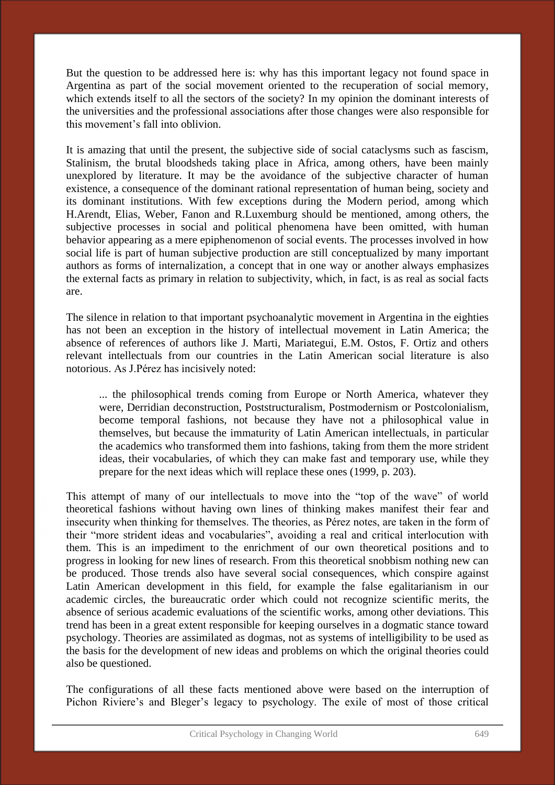But the question to be addressed here is: why has this important legacy not found space in Argentina as part of the social movement oriented to the recuperation of social memory, which extends itself to all the sectors of the society? In my opinion the dominant interests of the universities and the professional associations after those changes were also responsible for this movement's fall into oblivion.

It is amazing that until the present, the subjective side of social cataclysms such as fascism, Stalinism, the brutal bloodsheds taking place in Africa, among others, have been mainly unexplored by literature. It may be the avoidance of the subjective character of human existence, a consequence of the dominant rational representation of human being, society and its dominant institutions. With few exceptions during the Modern period, among which H.Arendt, Elias, Weber, Fanon and R.Luxemburg should be mentioned, among others, the subjective processes in social and political phenomena have been omitted, with human behavior appearing as a mere epiphenomenon of social events. The processes involved in how social life is part of human subjective production are still conceptualized by many important authors as forms of internalization, a concept that in one way or another always emphasizes the external facts as primary in relation to subjectivity, which, in fact, is as real as social facts are.

The silence in relation to that important psychoanalytic movement in Argentina in the eighties has not been an exception in the history of intellectual movement in Latin America; the absence of references of authors like J. Marti, Mariategui, E.M. Ostos, F. Ortiz and others relevant intellectuals from our countries in the Latin American social literature is also notorious. As J.Pérez has incisively noted:

... the philosophical trends coming from Europe or North America, whatever they were, Derridian deconstruction, Poststructuralism, Postmodernism or Postcolonialism, become temporal fashions, not because they have not a philosophical value in themselves, but because the immaturity of Latin American intellectuals, in particular the academics who transformed them into fashions, taking from them the more strident ideas, their vocabularies, of which they can make fast and temporary use, while they prepare for the next ideas which will replace these ones (1999, p. 203).

This attempt of many of our intellectuals to move into the "top of the wave" of world theoretical fashions without having own lines of thinking makes manifest their fear and insecurity when thinking for themselves. The theories, as Pérez notes, are taken in the form of their "more strident ideas and vocabularies", avoiding a real and critical interlocution with them. This is an impediment to the enrichment of our own theoretical positions and to progress in looking for new lines of research. From this theoretical snobbism nothing new can be produced. Those trends also have several social consequences, which conspire against Latin American development in this field, for example the false egalitarianism in our academic circles, the bureaucratic order which could not recognize scientific merits, the absence of serious academic evaluations of the scientific works, among other deviations. This trend has been in a great extent responsible for keeping ourselves in a dogmatic stance toward psychology. Theories are assimilated as dogmas, not as systems of intelligibility to be used as the basis for the development of new ideas and problems on which the original theories could also be questioned.

The configurations of all these facts mentioned above were based on the interruption of Pichon Riviere's and Bleger's legacy to psychology. The exile of most of those critical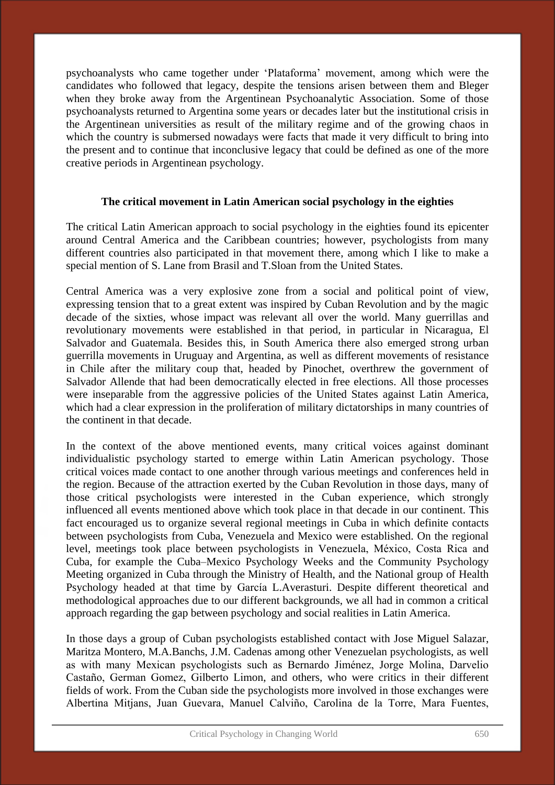psychoanalysts who came together under 'Plataforma' movement, among which were the candidates who followed that legacy, despite the tensions arisen between them and Bleger when they broke away from the Argentinean Psychoanalytic Association. Some of those psychoanalysts returned to Argentina some years or decades later but the institutional crisis in the Argentinean universities as result of the military regime and of the growing chaos in which the country is submersed nowadays were facts that made it very difficult to bring into the present and to continue that inconclusive legacy that could be defined as one of the more creative periods in Argentinean psychology.

### **The critical movement in Latin American social psychology in the eighties**

The critical Latin American approach to social psychology in the eighties found its epicenter around Central America and the Caribbean countries; however, psychologists from many different countries also participated in that movement there, among which I like to make a special mention of S. Lane from Brasil and T.Sloan from the United States.

Central America was a very explosive zone from a social and political point of view, expressing tension that to a great extent was inspired by Cuban Revolution and by the magic decade of the sixties, whose impact was relevant all over the world. Many guerrillas and revolutionary movements were established in that period, in particular in Nicaragua, El Salvador and Guatemala. Besides this, in South America there also emerged strong urban guerrilla movements in Uruguay and Argentina, as well as different movements of resistance in Chile after the military coup that, headed by Pinochet, overthrew the government of Salvador Allende that had been democratically elected in free elections. All those processes were inseparable from the aggressive policies of the United States against Latin America, which had a clear expression in the proliferation of military dictatorships in many countries of the continent in that decade.

In the context of the above mentioned events, many critical voices against dominant individualistic psychology started to emerge within Latin American psychology. Those critical voices made contact to one another through various meetings and conferences held in the region. Because of the attraction exerted by the Cuban Revolution in those days, many of those critical psychologists were interested in the Cuban experience, which strongly influenced all events mentioned above which took place in that decade in our continent. This fact encouraged us to organize several regional meetings in Cuba in which definite contacts between psychologists from Cuba, Venezuela and Mexico were established. On the regional level, meetings took place between psychologists in Venezuela, México, Costa Rica and Cuba, for example the Cuba–Mexico Psychology Weeks and the Community Psychology Meeting organized in Cuba through the Ministry of Health, and the National group of Health Psychology headed at that time by García L.Averasturi. Despite different theoretical and methodological approaches due to our different backgrounds, we all had in common a critical approach regarding the gap between psychology and social realities in Latin America.

In those days a group of Cuban psychologists established contact with Jose Miguel Salazar, Maritza Montero, M.A.Banchs, J.M. Cadenas among other Venezuelan psychologists, as well as with many Mexican psychologists such as Bernardo Jiménez, Jorge Molina, Darvelio Castaño, German Gomez, Gilberto Limon, and others, who were critics in their different fields of work. From the Cuban side the psychologists more involved in those exchanges were Albertina Mitjans, Juan Guevara, Manuel Calviño, Carolina de la Torre, Mara Fuentes,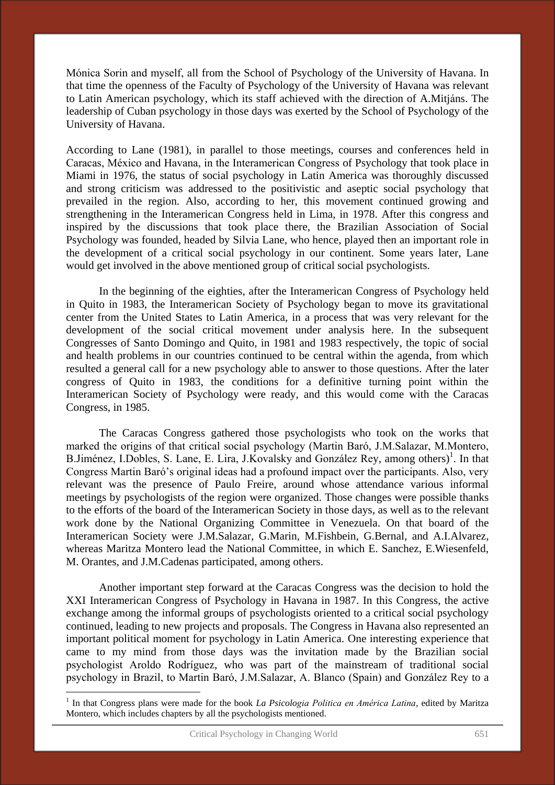Mónica Sorin and myself, all from the School of Psychology of the University of Havana. In that time the openness of the Faculty of Psychology of the University of Havana was relevant to Latin American psychology, which its staff achieved with the direction of A.Mitjáns. The leadership of Cuban psychology in those days was exerted by the School of Psychology of the University of Havana.

According to Lane (1981), in parallel to those meetings, courses and conferences held in Caracas, México and Havana, in the Interamerican Congress of Psychology that took place in Miami in 1976, the status of social psychology in Latin America was thoroughly discussed and strong criticism was addressed to the positivistic and aseptic social psychology that prevailed in the region. Also, according to her, this movement continued growing and strengthening in the Interamerican Congress held in Lima, in 1978. After this congress and inspired by the discussions that took place there, the Brazilian Association of Social Psychology was founded, headed by Silvia Lane, who hence, played then an important role in the development of a critical social psychology in our continent. Some years later, Lane would get involved in the above mentioned group of critical social psychologists.

 In the beginning of the eighties, after the Interamerican Congress of Psychology held in Quito in 1983, the Interamerican Society of Psychology began to move its gravitational center from the United States to Latin America, in a process that was very relevant for the development of the social critical movement under analysis here. In the subsequent Congresses of Santo Domingo and Quito, in 1981 and 1983 respectively, the topic of social and health problems in our countries continued to be central within the agenda, from which resulted a general call for a new psychology able to answer to those questions. After the later congress of Quito in 1983, the conditions for a definitive turning point within the Interamerican Society of Psychology were ready, and this would come with the Caracas Congress, in 1985.

 The Caracas Congress gathered those psychologists who took on the works that marked the origins of that critical social psychology (Martin Baró, J.M.Salazar, M.Montero, B.Jiménez, I.Dobles, S. Lane, E. Lira, J.Kovalsky and González Rey, among others)<sup>1</sup>. In that Congress Martin Baró's original ideas had a profound impact over the participants. Also, very relevant was the presence of Paulo Freire, around whose attendance various informal meetings by psychologists of the region were organized. Those changes were possible thanks to the efforts of the board of the Interamerican Society in those days, as well as to the relevant work done by the National Organizing Committee in Venezuela. On that board of the Interamerican Society were J.M.Salazar, G.Marin, M.Fishbein, G.Bernal, and A.I.Alvarez, whereas Maritza Montero lead the National Committee, in which E. Sanchez, E.Wiesenfeld, M. Orantes, and J.M.Cadenas participated, among others.

 Another important step forward at the Caracas Congress was the decision to hold the XXI Interamerican Congress of Psychology in Havana in 1987. In this Congress, the active exchange among the informal groups of psychologists oriented to a critical social psychology continued, leading to new projects and proposals. The Congress in Havana also represented an important political moment for psychology in Latin America. One interesting experience that came to my mind from those days was the invitation made by the Brazilian social psychologist Aroldo Rodríguez, who was part of the mainstream of traditional social psychology in Brazil, to Martin Baró, J.M.Salazar, A. Blanco (Spain) and González Rey to a

<sup>&</sup>lt;sup>1</sup> In that Congress plans were made for the book *La Psicologia Politica en América Latina*, edited by Maritza Montero, which includes chapters by all the psychologists mentioned.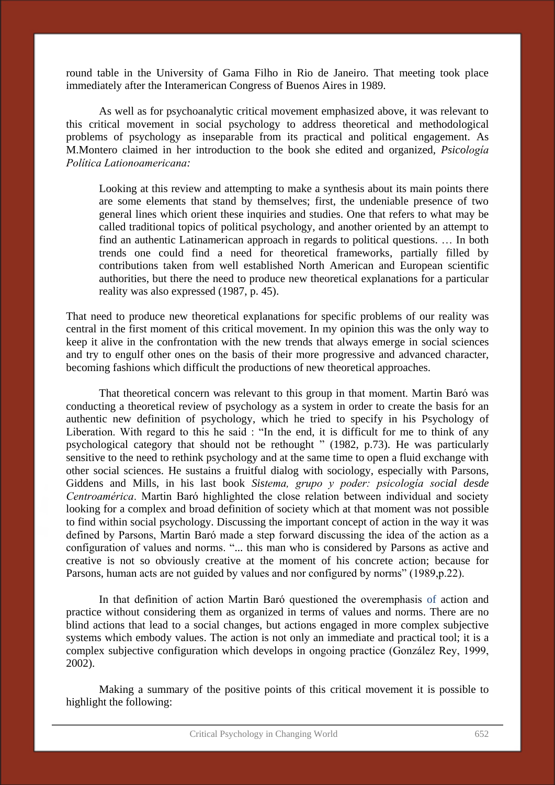round table in the University of Gama Filho in Rio de Janeiro. That meeting took place immediately after the Interamerican Congress of Buenos Aires in 1989.

 As well as for psychoanalytic critical movement emphasized above, it was relevant to this critical movement in social psychology to address theoretical and methodological problems of psychology as inseparable from its practical and political engagement. As M.Montero claimed in her introduction to the book she edited and organized, *Psicología Política Lationoamericana:* 

Looking at this review and attempting to make a synthesis about its main points there are some elements that stand by themselves; first, the undeniable presence of two general lines which orient these inquiries and studies. One that refers to what may be called traditional topics of political psychology, and another oriented by an attempt to find an authentic Latinamerican approach in regards to political questions. … In both trends one could find a need for theoretical frameworks, partially filled by contributions taken from well established North American and European scientific authorities, but there the need to produce new theoretical explanations for a particular reality was also expressed (1987, p. 45).

That need to produce new theoretical explanations for specific problems of our reality was central in the first moment of this critical movement. In my opinion this was the only way to keep it alive in the confrontation with the new trends that always emerge in social sciences and try to engulf other ones on the basis of their more progressive and advanced character, becoming fashions which difficult the productions of new theoretical approaches.

 That theoretical concern was relevant to this group in that moment. Martin Baró was conducting a theoretical review of psychology as a system in order to create the basis for an authentic new definition of psychology, which he tried to specify in his Psychology of Liberation. With regard to this he said : "In the end, it is difficult for me to think of any psychological category that should not be rethought " (1982, p.73). He was particularly sensitive to the need to rethink psychology and at the same time to open a fluid exchange with other social sciences. He sustains a fruitful dialog with sociology, especially with Parsons, Giddens and Mills, in his last book *Sistema, grupo y poder: psicología social desde Centroamérica*. Martin Baró highlighted the close relation between individual and society looking for a complex and broad definition of society which at that moment was not possible to find within social psychology. Discussing the important concept of action in the way it was defined by Parsons, Martin Baró made a step forward discussing the idea of the action as a configuration of values and norms. "... this man who is considered by Parsons as active and creative is not so obviously creative at the moment of his concrete action; because for Parsons, human acts are not guided by values and nor configured by norms" (1989,p.22).

In that definition of action Martin Baró questioned the overemphasis of action and practice without considering them as organized in terms of values and norms. There are no blind actions that lead to a social changes, but actions engaged in more complex subjective systems which embody values. The action is not only an immediate and practical tool; it is a complex subjective configuration which develops in ongoing practice (González Rey, 1999, 2002).

Making a summary of the positive points of this critical movement it is possible to highlight the following: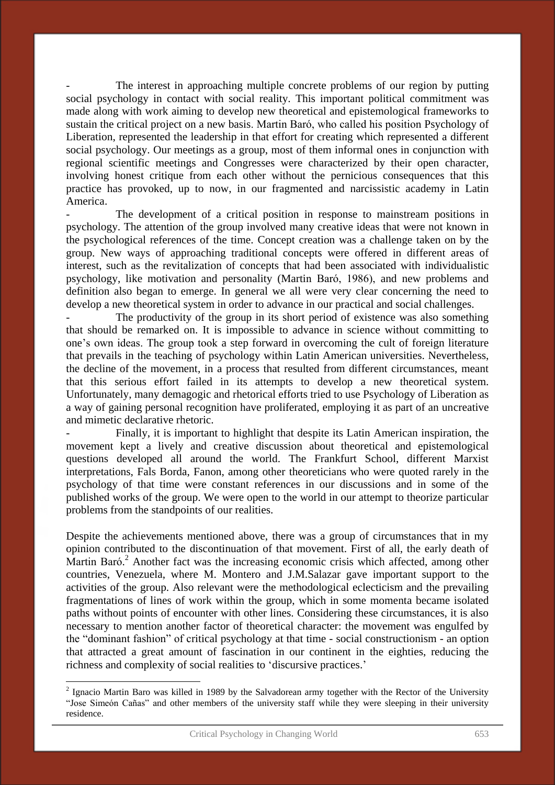The interest in approaching multiple concrete problems of our region by putting social psychology in contact with social reality. This important political commitment was made along with work aiming to develop new theoretical and epistemological frameworks to sustain the critical project on a new basis. Martin Baró, who called his position Psychology of Liberation, represented the leadership in that effort for creating which represented a different social psychology. Our meetings as a group, most of them informal ones in conjunction with regional scientific meetings and Congresses were characterized by their open character, involving honest critique from each other without the pernicious consequences that this practice has provoked, up to now, in our fragmented and narcissistic academy in Latin America.

The development of a critical position in response to mainstream positions in psychology. The attention of the group involved many creative ideas that were not known in the psychological references of the time. Concept creation was a challenge taken on by the group. New ways of approaching traditional concepts were offered in different areas of interest, such as the revitalization of concepts that had been associated with individualistic psychology, like motivation and personality (Martin Baró, 1986), and new problems and definition also began to emerge. In general we all were very clear concerning the need to develop a new theoretical system in order to advance in our practical and social challenges.

The productivity of the group in its short period of existence was also something that should be remarked on. It is impossible to advance in science without committing to one's own ideas. The group took a step forward in overcoming the cult of foreign literature that prevails in the teaching of psychology within Latin American universities. Nevertheless, the decline of the movement, in a process that resulted from different circumstances, meant that this serious effort failed in its attempts to develop a new theoretical system. Unfortunately, many demagogic and rhetorical efforts tried to use Psychology of Liberation as a way of gaining personal recognition have proliferated, employing it as part of an uncreative and mimetic declarative rhetoric.

Finally, it is important to highlight that despite its Latin American inspiration, the movement kept a lively and creative discussion about theoretical and epistemological questions developed all around the world. The Frankfurt School, different Marxist interpretations, Fals Borda, Fanon, among other theoreticians who were quoted rarely in the psychology of that time were constant references in our discussions and in some of the published works of the group. We were open to the world in our attempt to theorize particular problems from the standpoints of our realities.

Despite the achievements mentioned above, there was a group of circumstances that in my opinion contributed to the discontinuation of that movement. First of all, the early death of Martin Baró.<sup>2</sup> Another fact was the increasing economic crisis which affected, among other countries, Venezuela, where M. Montero and J.M.Salazar gave important support to the activities of the group. Also relevant were the methodological eclecticism and the prevailing fragmentations of lines of work within the group, which in some momenta became isolated paths without points of encounter with other lines. Considering these circumstances, it is also necessary to mention another factor of theoretical character: the movement was engulfed by the "dominant fashion" of critical psychology at that time - social constructionism - an option that attracted a great amount of fascination in our continent in the eighties, reducing the richness and complexity of social realities to 'discursive practices.'

 $2$  Ignacio Martin Baro was killed in 1989 by the Salvadorean army together with the Rector of the University "Jose Simeón Cañas" and other members of the university staff while they were sleeping in their university residence.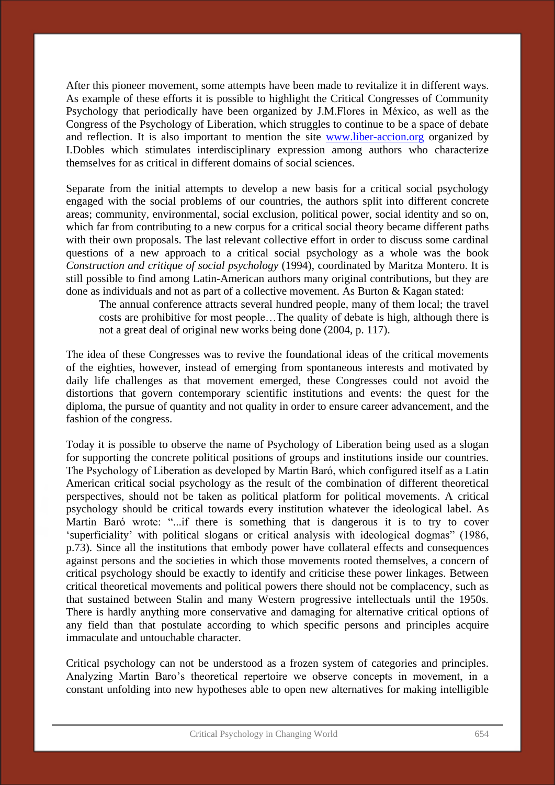After this pioneer movement, some attempts have been made to revitalize it in different ways. As example of these efforts it is possible to highlight the Critical Congresses of Community Psychology that periodically have been organized by J.M.Flores in México, as well as the Congress of the Psychology of Liberation, which struggles to continue to be a space of debate and reflection. It is also important to mention the site [www.liber-accion.org](http://www.liber-accion.org/) organized by I.Dobles which stimulates interdisciplinary expression among authors who characterize themselves for as critical in different domains of social sciences.

Separate from the initial attempts to develop a new basis for a critical social psychology engaged with the social problems of our countries, the authors split into different concrete areas; community, environmental, social exclusion, political power, social identity and so on, which far from contributing to a new corpus for a critical social theory became different paths with their own proposals. The last relevant collective effort in order to discuss some cardinal questions of a new approach to a critical social psychology as a whole was the book *Construction and critique of social psychology* (1994), coordinated by Maritza Montero. It is still possible to find among Latin-American authors many original contributions, but they are done as individuals and not as part of a collective movement. As Burton & Kagan stated:

The annual conference attracts several hundred people, many of them local; the travel costs are prohibitive for most people…The quality of debate is high, although there is not a great deal of original new works being done (2004, p. 117).

The idea of these Congresses was to revive the foundational ideas of the critical movements of the eighties, however, instead of emerging from spontaneous interests and motivated by daily life challenges as that movement emerged, these Congresses could not avoid the distortions that govern contemporary scientific institutions and events: the quest for the diploma, the pursue of quantity and not quality in order to ensure career advancement, and the fashion of the congress.

Today it is possible to observe the name of Psychology of Liberation being used as a slogan for supporting the concrete political positions of groups and institutions inside our countries. The Psychology of Liberation as developed by Martin Baró, which configured itself as a Latin American critical social psychology as the result of the combination of different theoretical perspectives, should not be taken as political platform for political movements. A critical psychology should be critical towards every institution whatever the ideological label. As Martin Baró wrote: "...if there is something that is dangerous it is to try to cover 'superficiality' with political slogans or critical analysis with ideological dogmas" (1986, p.73). Since all the institutions that embody power have collateral effects and consequences against persons and the societies in which those movements rooted themselves, a concern of critical psychology should be exactly to identify and criticise these power linkages. Between critical theoretical movements and political powers there should not be complacency, such as that sustained between Stalin and many Western progressive intellectuals until the 1950s. There is hardly anything more conservative and damaging for alternative critical options of any field than that postulate according to which specific persons and principles acquire immaculate and untouchable character.

Critical psychology can not be understood as a frozen system of categories and principles. Analyzing Martin Baro's theoretical repertoire we observe concepts in movement, in a constant unfolding into new hypotheses able to open new alternatives for making intelligible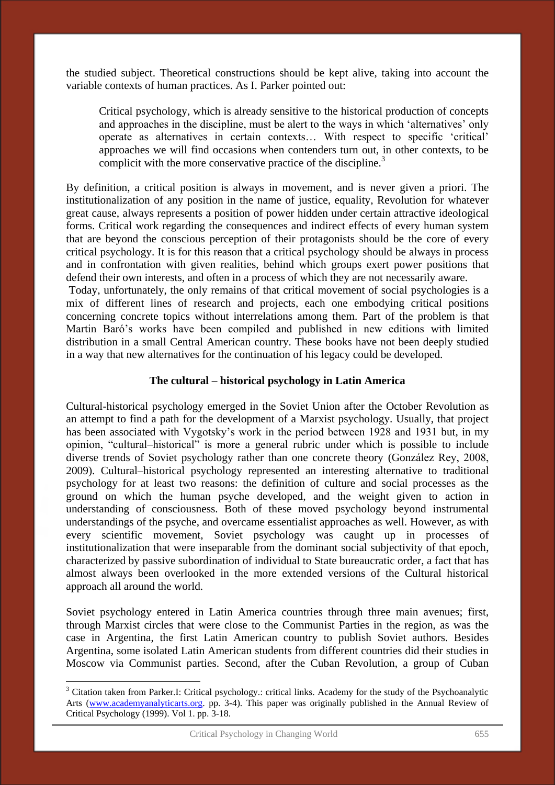the studied subject. Theoretical constructions should be kept alive, taking into account the variable contexts of human practices. As I. Parker pointed out:

Critical psychology, which is already sensitive to the historical production of concepts and approaches in the discipline, must be alert to the ways in which 'alternatives' only operate as alternatives in certain contexts… With respect to specific 'critical' approaches we will find occasions when contenders turn out, in other contexts, to be complicit with the more conservative practice of the discipline.<sup>3</sup>

By definition, a critical position is always in movement, and is never given a priori. The institutionalization of any position in the name of justice, equality, Revolution for whatever great cause, always represents a position of power hidden under certain attractive ideological forms. Critical work regarding the consequences and indirect effects of every human system that are beyond the conscious perception of their protagonists should be the core of every critical psychology. It is for this reason that a critical psychology should be always in process and in confrontation with given realities, behind which groups exert power positions that defend their own interests, and often in a process of which they are not necessarily aware.

 Today, unfortunately, the only remains of that critical movement of social psychologies is a mix of different lines of research and projects, each one embodying critical positions concerning concrete topics without interrelations among them. Part of the problem is that Martin Baró's works have been compiled and published in new editions with limited distribution in a small Central American country. These books have not been deeply studied in a way that new alternatives for the continuation of his legacy could be developed.

### **The cultural – historical psychology in Latin America**

Cultural-historical psychology emerged in the Soviet Union after the October Revolution as an attempt to find a path for the development of a Marxist psychology. Usually, that project has been associated with Vygotsky's work in the period between 1928 and 1931 but, in my opinion, "cultural–historical" is more a general rubric under which is possible to include diverse trends of Soviet psychology rather than one concrete theory (González Rey, 2008, 2009). Cultural–historical psychology represented an interesting alternative to traditional psychology for at least two reasons: the definition of culture and social processes as the ground on which the human psyche developed, and the weight given to action in understanding of consciousness. Both of these moved psychology beyond instrumental understandings of the psyche, and overcame essentialist approaches as well. However, as with every scientific movement, Soviet psychology was caught up in processes of institutionalization that were inseparable from the dominant social subjectivity of that epoch, characterized by passive subordination of individual to State bureaucratic order, a fact that has almost always been overlooked in the more extended versions of the Cultural historical approach all around the world.

Soviet psychology entered in Latin America countries through three main avenues; first, through Marxist circles that were close to the Communist Parties in the region, as was the case in Argentina, the first Latin American country to publish Soviet authors. Besides Argentina, some isolated Latin American students from different countries did their studies in Moscow via Communist parties. Second, after the Cuban Revolution, a group of Cuban

<sup>&</sup>lt;sup>3</sup> Citation taken from Parker.I: Critical psychology.: critical links. Academy for the study of the Psychoanalytic Arts [\(www.academyanalyticarts.org.](http://www.academyanalyticarts.org/) pp. 3-4). This paper was originally published in the Annual Review of Critical Psychology (1999). Vol 1. pp. 3-18.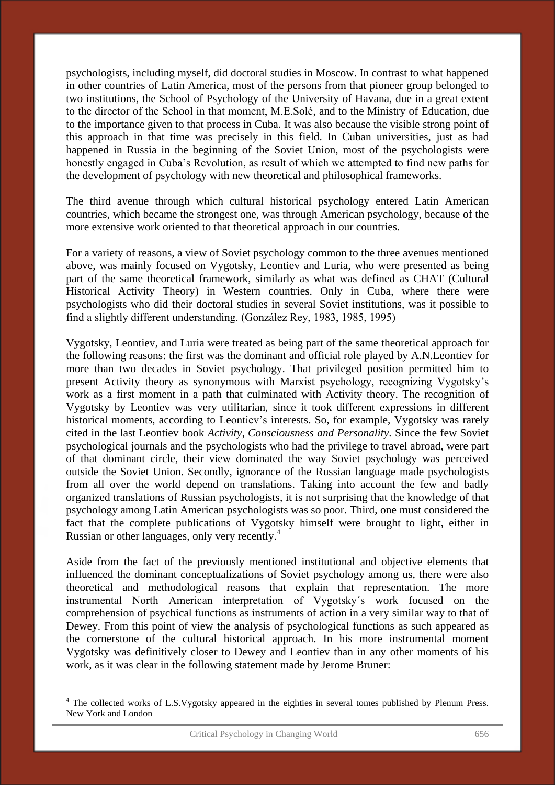psychologists, including myself, did doctoral studies in Moscow. In contrast to what happened in other countries of Latin America, most of the persons from that pioneer group belonged to two institutions, the School of Psychology of the University of Havana, due in a great extent to the director of the School in that moment, M.E.Solé, and to the Ministry of Education, due to the importance given to that process in Cuba. It was also because the visible strong point of this approach in that time was precisely in this field. In Cuban universities, just as had happened in Russia in the beginning of the Soviet Union, most of the psychologists were honestly engaged in Cuba's Revolution, as result of which we attempted to find new paths for the development of psychology with new theoretical and philosophical frameworks.

The third avenue through which cultural historical psychology entered Latin American countries, which became the strongest one, was through American psychology, because of the more extensive work oriented to that theoretical approach in our countries.

For a variety of reasons, a view of Soviet psychology common to the three avenues mentioned above, was mainly focused on Vygotsky, Leontiev and Luria, who were presented as being part of the same theoretical framework, similarly as what was defined as CHAT (Cultural Historical Activity Theory) in Western countries. Only in Cuba, where there were psychologists who did their doctoral studies in several Soviet institutions, was it possible to find a slightly different understanding. (González Rey, 1983, 1985, 1995)

Vygotsky, Leontiev, and Luria were treated as being part of the same theoretical approach for the following reasons: the first was the dominant and official role played by A.N.Leontiev for more than two decades in Soviet psychology. That privileged position permitted him to present Activity theory as synonymous with Marxist psychology, recognizing Vygotsky's work as a first moment in a path that culminated with Activity theory. The recognition of Vygotsky by Leontiev was very utilitarian, since it took different expressions in different historical moments, according to Leontiev's interests. So, for example, Vygotsky was rarely cited in the last Leontiev book *Activity, Consciousness and Personality*. Since the few Soviet psychological journals and the psychologists who had the privilege to travel abroad, were part of that dominant circle, their view dominated the way Soviet psychology was perceived outside the Soviet Union. Secondly, ignorance of the Russian language made psychologists from all over the world depend on translations. Taking into account the few and badly organized translations of Russian psychologists, it is not surprising that the knowledge of that psychology among Latin American psychologists was so poor. Third, one must considered the fact that the complete publications of Vygotsky himself were brought to light, either in Russian or other languages, only very recently.<sup>4</sup>

Aside from the fact of the previously mentioned institutional and objective elements that influenced the dominant conceptualizations of Soviet psychology among us, there were also theoretical and methodological reasons that explain that representation. The more instrumental North American interpretation of Vygotsky´s work focused on the comprehension of psychical functions as instruments of action in a very similar way to that of Dewey. From this point of view the analysis of psychological functions as such appeared as the cornerstone of the cultural historical approach. In his more instrumental moment Vygotsky was definitively closer to Dewey and Leontiev than in any other moments of his work, as it was clear in the following statement made by Jerome Bruner:

<sup>&</sup>lt;sup>4</sup> The collected works of L.S. Vygotsky appeared in the eighties in several tomes published by Plenum Press. New York and London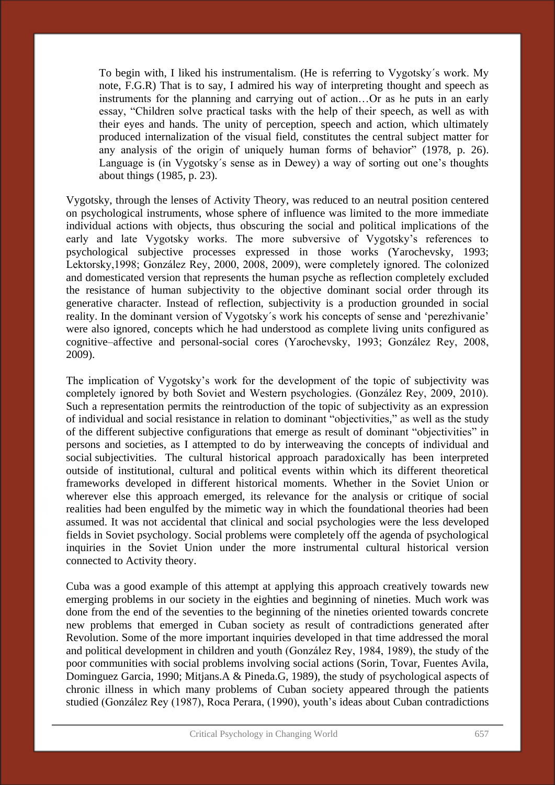To begin with, I liked his instrumentalism. (He is referring to Vygotsky´s work. My note, F.G.R) That is to say, I admired his way of interpreting thought and speech as instruments for the planning and carrying out of action…Or as he puts in an early essay, "Children solve practical tasks with the help of their speech, as well as with their eyes and hands. The unity of perception, speech and action, which ultimately produced internalization of the visual field, constitutes the central subject matter for any analysis of the origin of uniquely human forms of behavior" (1978, p. 26). Language is (in Vygotsky´s sense as in Dewey) a way of sorting out one's thoughts about things (1985, p. 23).

Vygotsky, through the lenses of Activity Theory, was reduced to an neutral position centered on psychological instruments, whose sphere of influence was limited to the more immediate individual actions with objects, thus obscuring the social and political implications of the early and late Vygotsky works. The more subversive of Vygotsky's references to psychological subjective processes expressed in those works (Yarochevsky, 1993; Lektorsky,1998; González Rey, 2000, 2008, 2009), were completely ignored. The colonized and domesticated version that represents the human psyche as reflection completely excluded the resistance of human subjectivity to the objective dominant social order through its generative character. Instead of reflection, subjectivity is a production grounded in social reality. In the dominant version of Vygotsky´s work his concepts of sense and 'perezhivanie' were also ignored, concepts which he had understood as complete living units configured as cognitive–affective and personal-social cores (Yarochevsky, 1993; González Rey, 2008, 2009).

The implication of Vygotsky's work for the development of the topic of subjectivity was completely ignored by both Soviet and Western psychologies. (González Rey, 2009, 2010). Such a representation permits the reintroduction of the topic of subjectivity as an expression of individual and social resistance in relation to dominant "objectivities," as well as the study of the different subjective configurations that emerge as result of dominant "objectivities" in persons and societies, as I attempted to do by interweaving the concepts of individual and social subjectivities. The cultural historical approach paradoxically has been interpreted outside of institutional, cultural and political events within which its different theoretical frameworks developed in different historical moments. Whether in the Soviet Union or wherever else this approach emerged, its relevance for the analysis or critique of social realities had been engulfed by the mimetic way in which the foundational theories had been assumed. It was not accidental that clinical and social psychologies were the less developed fields in Soviet psychology. Social problems were completely off the agenda of psychological inquiries in the Soviet Union under the more instrumental cultural historical version connected to Activity theory.

Cuba was a good example of this attempt at applying this approach creatively towards new emerging problems in our society in the eighties and beginning of nineties. Much work was done from the end of the seventies to the beginning of the nineties oriented towards concrete new problems that emerged in Cuban society as result of contradictions generated after Revolution. Some of the more important inquiries developed in that time addressed the moral and political development in children and youth (González Rey, 1984, 1989), the study of the poor communities with social problems involving social actions (Sorin, Tovar, Fuentes Avila, Dominguez Garcia, 1990; Mitjans.A & Pineda.G, 1989), the study of psychological aspects of chronic illness in which many problems of Cuban society appeared through the patients studied (González Rey (1987), Roca Perara, (1990), youth's ideas about Cuban contradictions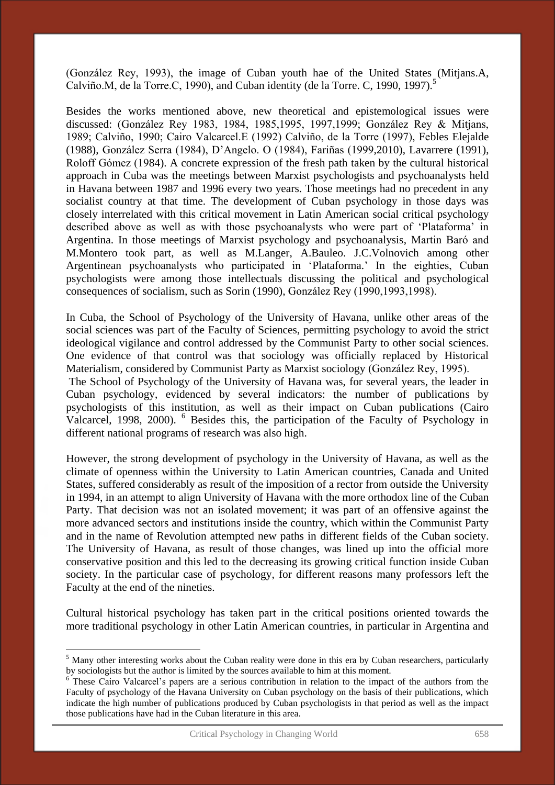(González Rey, 1993), the image of Cuban youth hae of the United States (Mitjans.A, Calviño.M, de la Torre.C, 1990), and Cuban identity (de la Torre. C, 1990, 1997). $5$ 

Besides the works mentioned above, new theoretical and epistemological issues were discussed: (González Rey 1983, 1984, 1985,1995, 1997,1999; González Rey & Mitjans, 1989; Calviño, 1990; Cairo Valcarcel.E (1992) Calviño, de la Torre (1997), Febles Elejalde (1988), González Serra (1984), D'Angelo. O (1984), Fariñas (1999,2010), Lavarrere (1991), Roloff Gómez (1984). A concrete expression of the fresh path taken by the cultural historical approach in Cuba was the meetings between Marxist psychologists and psychoanalysts held in Havana between 1987 and 1996 every two years. Those meetings had no precedent in any socialist country at that time. The development of Cuban psychology in those days was closely interrelated with this critical movement in Latin American social critical psychology described above as well as with those psychoanalysts who were part of 'Plataforma' in Argentina. In those meetings of Marxist psychology and psychoanalysis, Martin Baró and M.Montero took part, as well as M.Langer, A.Bauleo. J.C.Volnovich among other Argentinean psychoanalysts who participated in 'Plataforma.' In the eighties, Cuban psychologists were among those intellectuals discussing the political and psychological consequences of socialism, such as Sorin (1990), González Rey (1990,1993,1998).

In Cuba, the School of Psychology of the University of Havana, unlike other areas of the social sciences was part of the Faculty of Sciences, permitting psychology to avoid the strict ideological vigilance and control addressed by the Communist Party to other social sciences. One evidence of that control was that sociology was officially replaced by Historical Materialism, considered by Communist Party as Marxist sociology (González Rey, 1995).

 The School of Psychology of the University of Havana was, for several years, the leader in Cuban psychology, evidenced by several indicators: the number of publications by psychologists of this institution, as well as their impact on Cuban publications (Cairo Valcarcel, 1998, 2000). <sup>6</sup> Besides this, the participation of the Faculty of Psychology in different national programs of research was also high.

However, the strong development of psychology in the University of Havana, as well as the climate of openness within the University to Latin American countries, Canada and United States, suffered considerably as result of the imposition of a rector from outside the University in 1994, in an attempt to align University of Havana with the more orthodox line of the Cuban Party. That decision was not an isolated movement; it was part of an offensive against the more advanced sectors and institutions inside the country, which within the Communist Party and in the name of Revolution attempted new paths in different fields of the Cuban society. The University of Havana, as result of those changes, was lined up into the official more conservative position and this led to the decreasing its growing critical function inside Cuban society. In the particular case of psychology, for different reasons many professors left the Faculty at the end of the nineties.

Cultural historical psychology has taken part in the critical positions oriented towards the more traditional psychology in other Latin American countries, in particular in Argentina and

<sup>&</sup>lt;sup>5</sup> Many other interesting works about the Cuban reality were done in this era by Cuban researchers, particularly by sociologists but the author is limited by the sources available to him at this moment.

<sup>&</sup>lt;sup>6</sup> These Cairo Valcarcel's papers are a serious contribution in relation to the impact of the authors from the Faculty of psychology of the Havana University on Cuban psychology on the basis of their publications, which indicate the high number of publications produced by Cuban psychologists in that period as well as the impact those publications have had in the Cuban literature in this area.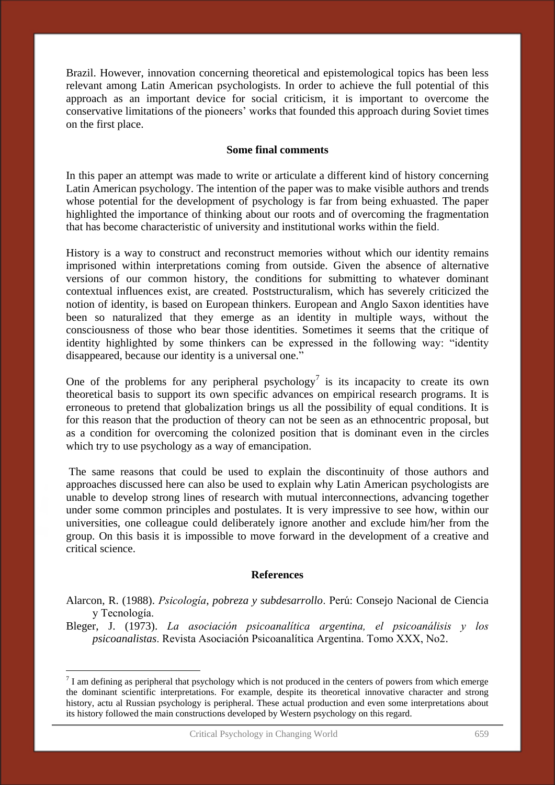Brazil. However, innovation concerning theoretical and epistemological topics has been less relevant among Latin American psychologists. In order to achieve the full potential of this approach as an important device for social criticism, it is important to overcome the conservative limitations of the pioneers' works that founded this approach during Soviet times on the first place.

### **Some final comments**

In this paper an attempt was made to write or articulate a different kind of history concerning Latin American psychology. The intention of the paper was to make visible authors and trends whose potential for the development of psychology is far from being exhuasted. The paper highlighted the importance of thinking about our roots and of overcoming the fragmentation that has become characteristic of university and institutional works within the field.

History is a way to construct and reconstruct memories without which our identity remains imprisoned within interpretations coming from outside. Given the absence of alternative versions of our common history, the conditions for submitting to whatever dominant contextual influences exist, are created. Poststructuralism, which has severely criticized the notion of identity, is based on European thinkers. European and Anglo Saxon identities have been so naturalized that they emerge as an identity in multiple ways, without the consciousness of those who bear those identities. Sometimes it seems that the critique of identity highlighted by some thinkers can be expressed in the following way: "identity disappeared, because our identity is a universal one."

One of the problems for any peripheral psychology<sup>7</sup> is its incapacity to create its own theoretical basis to support its own specific advances on empirical research programs. It is erroneous to pretend that globalization brings us all the possibility of equal conditions. It is for this reason that the production of theory can not be seen as an ethnocentric proposal, but as a condition for overcoming the colonized position that is dominant even in the circles which try to use psychology as a way of emancipation.

 The same reasons that could be used to explain the discontinuity of those authors and approaches discussed here can also be used to explain why Latin American psychologists are unable to develop strong lines of research with mutual interconnections, advancing together under some common principles and postulates. It is very impressive to see how, within our universities, one colleague could deliberately ignore another and exclude him/her from the group. On this basis it is impossible to move forward in the development of a creative and critical science.

### **References**

Alarcon, R. (1988). *Psicología, pobreza y subdesarrollo*. Perú: Consejo Nacional de Ciencia y Tecnología.

Bleger, J. (1973). *La asociación psicoanalítica argentina, el psicoanálisis y los psicoanalistas*. Revista Asociación Psicoanalítica Argentina. Tomo XXX, No2.

<u>.</u>

 $<sup>7</sup>$  I am defining as peripheral that psychology which is not produced in the centers of powers from which emerge</sup> the dominant scientific interpretations. For example, despite its theoretical innovative character and strong history, actu al Russian psychology is peripheral. These actual production and even some interpretations about its history followed the main constructions developed by Western psychology on this regard.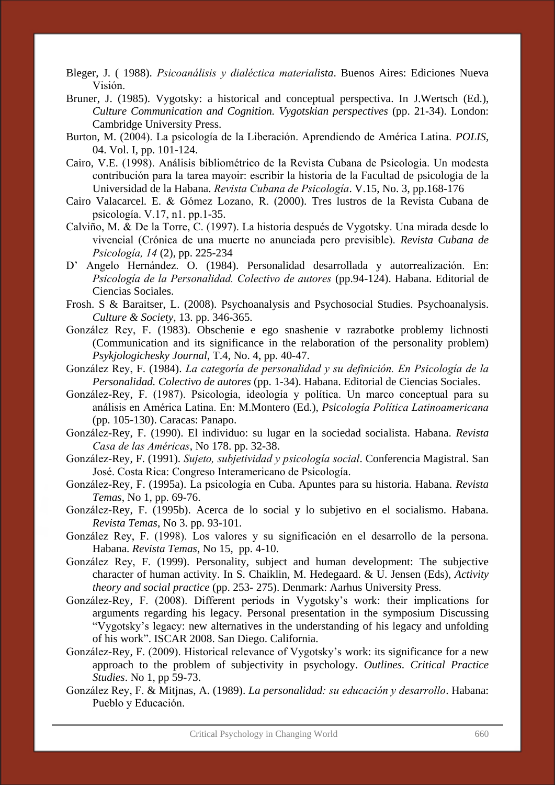- Bleger, J. ( 1988). *Psicoanálisis y dialéctica materialista*. Buenos Aires: Ediciones Nueva Visión.
- Bruner, J. (1985). Vygotsky: a historical and conceptual perspectiva. In J.Wertsch (Ed.), *Culture Communication and Cognition. Vygotskian perspectives* (pp. 21-34). London: Cambridge University Press.
- Burton, M. (2004). La psicología de la Liberación. Aprendiendo de América Latina. *POLIS,* 04. Vol. I, pp. 101-124.
- Cairo, V.E. (1998). Análisis bibliométrico de la Revista Cubana de Psicologia. Un modesta contribución para la tarea mayoir: escribir la historia de la Facultad de psicologia de la Universidad de la Habana. *Revista Cubana de Psicología*. V.15, No. 3, pp.168-176
- Cairo Valacarcel. E. & Gómez Lozano, R. (2000). Tres lustros de la Revista Cubana de psicología. V.17, n1. pp.1-35.
- Calviño, M. & De la Torre, C. (1997). La historia después de Vygotsky. Una mirada desde lo vivencial (Crónica de una muerte no anunciada pero previsible). *Revista Cubana de Psicología, 14* (2), pp. 225-234
- D' Angelo Hernández. O. (1984). Personalidad desarrollada y autorrealización. En: *Psicología de la Personalidad. Colectivo de autores* (pp.94-124). Habana. Editorial de Ciencias Sociales.
- Frosh. S & Baraitser, L. (2008). Psychoanalysis and Psychosocial Studies. Psychoanalysis. *Culture & Society*, 13. pp. 346-365.
- González Rey, F. (1983). Obschenie e ego snashenie v razrabotke problemy lichnosti (Communication and its significance in the relaboration of the personality problem) *Psykjologichesky Journal*, T.4, No. 4, pp. 40-47.
- González Rey, F. (1984). *La categoría de personalidad y su definición. En Psicología de la Personalidad. Colectivo de autores* (pp. 1-34). Habana. Editorial de Ciencias Sociales.
- González-Rey, F. (1987). Psicología, ideología y política. Un marco conceptual para su análisis en América Latina. En: M.Montero (Ed.), *Psicología Política Latinoamericana* (pp. 105-130). Caracas: Panapo.
- González-Rey, F. (1990). El individuo: su lugar en la sociedad socialista. Habana. *Revista Casa de las Américas*, No 178. pp. 32-38.
- González-Rey, F. (1991). *Sujeto, subjetividad y psicología social*. Conferencia Magistral. San José. Costa Rica: Congreso Interamericano de Psicología.
- González-Rey, F. (1995a). La psicología en Cuba. Apuntes para su historia. Habana. *Revista Temas*, No 1, pp. 69-76.
- González-Rey, F. (1995b). Acerca de lo social y lo subjetivo en el socialismo. Habana. *Revista Temas*, No 3. pp. 93-101.
- González Rey, F. (1998). Los valores y su significación en el desarrollo de la persona. Habana. *Revista Temas*, No 15, pp. 4-10.
- González Rey, F. (1999). Personality, subject and human development: The subjective character of human activity. In S. Chaiklin, M. Hedegaard. & U. Jensen (Eds), *Activity theory and social practice* (pp. 253- 275). Denmark: Aarhus University Press.
- González-Rey, F. (2008). Different periods in Vygotsky's work: their implications for arguments regarding his legacy. Personal presentation in the symposium Discussing "Vygotsky's legacy: new alternatives in the understanding of his legacy and unfolding of his work". ISCAR 2008. San Diego. California.
- González-Rey, F. (2009). Historical relevance of Vygotsky's work: its significance for a new approach to the problem of subjectivity in psychology. *Outlines. Critical Practice Studies*. No 1, pp 59-73.
- González Rey, F. & Mitjnas, A. (1989). *La personalidad: su educación y desarrollo*. Habana: Pueblo y Educación.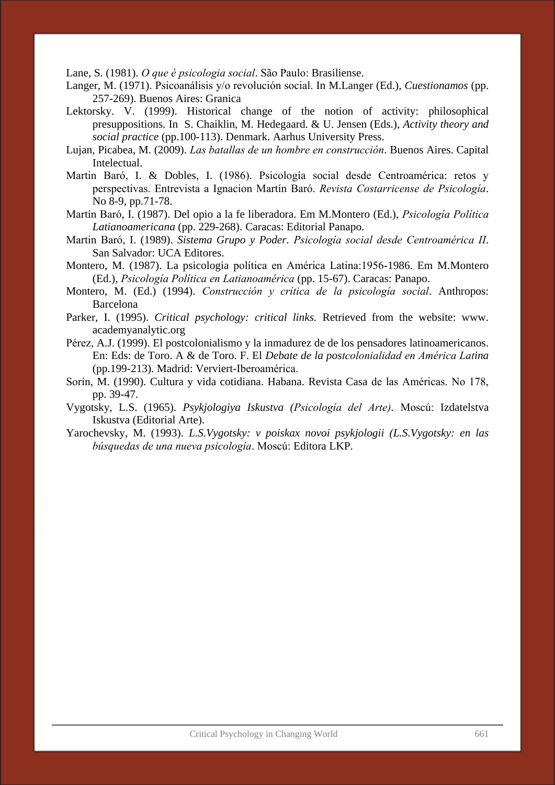Lane, S. (1981). *O que é psicologia social*. São Paulo: Brasiliense.

- Langer, M. (1971). Psicoanálisis y/o revolución social. In M.Langer (Ed.), *Cuestionamos* (pp. 257-269). Buenos Aires: Granica
- Lektorsky. V. (1999). Historical change of the notion of activity: philosophical presuppositions. In S. Chaiklin, M. Hedegaard. & U. Jensen (Eds.), *Activity theory and social practice* (pp.100-113). Denmark. Aarhus University Press.
- Lujan, Picabea, M. (2009). *Las batallas de un hombre en construcción*. Buenos Aires. Capital Intelectual.
- Martin Baró, I. & Dobles, I. (1986). Psicología social desde Centroamérica: retos y perspectivas. Entrevista a Ignacion Martín Baró. *Revista Costarricense de Psicología*. No 8-9, pp.71-78.
- Martín Baró, I. (1987). Del opio a la fe liberadora. Em M.Montero (Ed.), *Psicología Política Latianoamericana* (pp. 229-268). Caracas: Editorial Panapo.
- Martin Baró, I. (1989). *Sistema Grupo y Poder. Psicología social desde Centroamérica II*. San Salvador: UCA Editores.
- Montero, M. (1987). La psicologia política en América Latina:1956-1986. Em M.Montero (Ed.), *Psicología Política en Latianoamérica* (pp. 15-67). Caracas: Panapo.
- Montero, M. (Ed.) (1994). *Construcción y crítica de la psicología social*. Anthropos: Barcelona
- Parker, I. (1995). *Critical psychology: critical links.* Retrieved from the website: www. academyanalytic.org
- Pérez, A.J. (1999). El postcolonialismo y la inmadurez de de los pensadores latinoamericanos. En: Eds: de Toro. A & de Toro. F. El *Debate de la postcolonialidad en América Latina* (pp.199-213). Madrid: Verviert-Iberoamérica.
- Sorín, M. (1990). Cultura y vida cotidiana. Habana. Revista Casa de las Américas. No 178, pp. 39-47.
- Vygotsky, L.S. (1965). *Psykjologiya Iskustva (Psicología del Arte).* Moscú: Izdatelstva Iskustva (Editorial Arte).
- Yarochevsky, M. (1993). *L.S.Vygotsky: v poiskax novoi psykjologii (L.S.Vygotsky: en las búsquedas de una nueva psicología*. Moscú: Editora LKP.